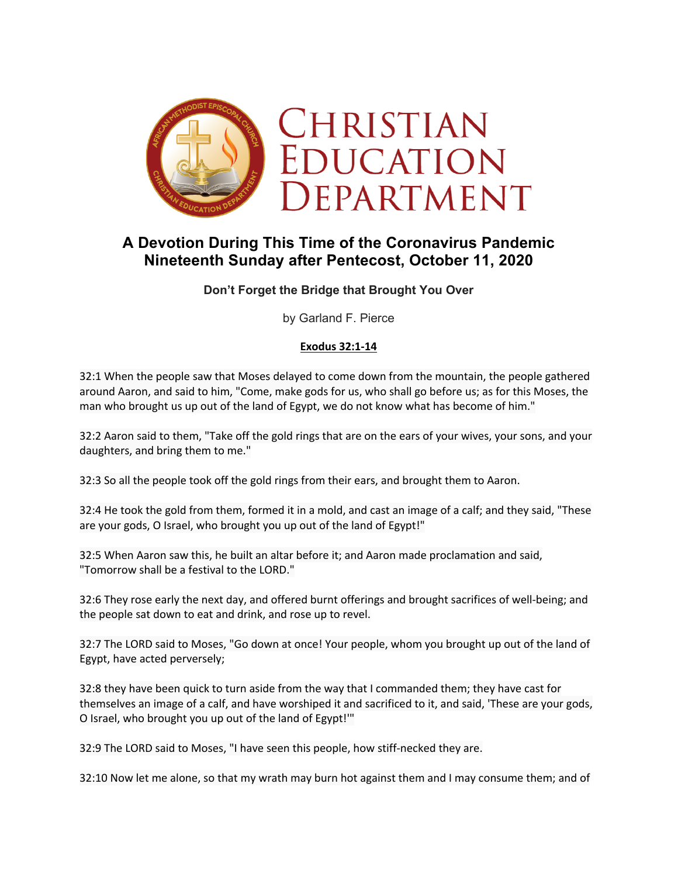

# **A Devotion During This Time of the Coronavirus Pandemic Nineteenth Sunday after Pentecost, October 11, 2020**

**Don't Forget the Bridge that Brought You Over**

by Garland F. Pierce

### **Exodus 32:1-14**

32:1 When the people saw that Moses delayed to come down from the mountain, the people gathered around Aaron, and said to him, "Come, make gods for us, who shall go before us; as for this Moses, the man who brought us up out of the land of Egypt, we do not know what has become of him."

32:2 Aaron said to them, "Take off the gold rings that are on the ears of your wives, your sons, and your daughters, and bring them to me."

32:3 So all the people took off the gold rings from their ears, and brought them to Aaron.

32:4 He took the gold from them, formed it in a mold, and cast an image of a calf; and they said, "These are your gods, O Israel, who brought you up out of the land of Egypt!"

32:5 When Aaron saw this, he built an altar before it; and Aaron made proclamation and said, "Tomorrow shall be a festival to the LORD."

32:6 They rose early the next day, and offered burnt offerings and brought sacrifices of well-being; and the people sat down to eat and drink, and rose up to revel.

32:7 The LORD said to Moses, "Go down at once! Your people, whom you brought up out of the land of Egypt, have acted perversely;

32:8 they have been quick to turn aside from the way that I commanded them; they have cast for themselves an image of a calf, and have worshiped it and sacrificed to it, and said, 'These are your gods, O Israel, who brought you up out of the land of Egypt!'"

32:9 The LORD said to Moses, "I have seen this people, how stiff-necked they are.

32:10 Now let me alone, so that my wrath may burn hot against them and I may consume them; and of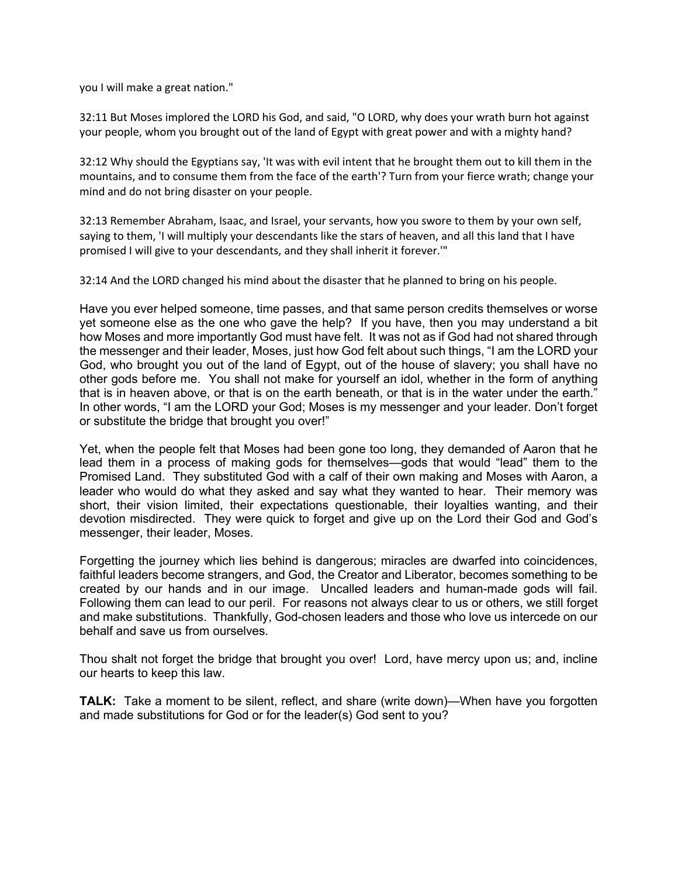you I will make a great nation."

32:11 But Moses implored the LORD his God, and said, "O LORD, why does your wrath burn hot against your people, whom you brought out of the land of Egypt with great power and with a mighty hand?

32:12 Why should the Egyptians say, 'It was with evil intent that he brought them out to kill them in the mountains, and to consume them from the face of the earth'? Turn from your fierce wrath; change your mind and do not bring disaster on your people.

32:13 Remember Abraham, Isaac, and Israel, your servants, how you swore to them by your own self, saying to them, 'I will multiply your descendants like the stars of heaven, and all this land that I have promised I will give to your descendants, and they shall inherit it forever.'"

32:14 And the LORD changed his mind about the disaster that he planned to bring on his people.

Have you ever helped someone, time passes, and that same person credits themselves or worse yet someone else as the one who gave the help? If you have, then you may understand a bit how Moses and more importantly God must have felt. It was not as if God had not shared through the messenger and their leader, Moses, just how God felt about such things, "I am the LORD your God, who brought you out of the land of Egypt, out of the house of slavery; you shall have no other gods before me. You shall not make for yourself an idol, whether in the form of anything that is in heaven above, or that is on the earth beneath, or that is in the water under the earth." In other words, "I am the LORD your God; Moses is my messenger and your leader. Don't forget or substitute the bridge that brought you over!"

Yet, when the people felt that Moses had been gone too long, they demanded of Aaron that he lead them in a process of making gods for themselves—gods that would "lead" them to the Promised Land. They substituted God with a calf of their own making and Moses with Aaron, a leader who would do what they asked and say what they wanted to hear. Their memory was short, their vision limited, their expectations questionable, their loyalties wanting, and their devotion misdirected. They were quick to forget and give up on the Lord their God and God's messenger, their leader, Moses.

Forgetting the journey which lies behind is dangerous; miracles are dwarfed into coincidences, faithful leaders become strangers, and God, the Creator and Liberator, becomes something to be created by our hands and in our image. Uncalled leaders and human-made gods will fail. Following them can lead to our peril. For reasons not always clear to us or others, we still forget and make substitutions. Thankfully, God-chosen leaders and those who love us intercede on our behalf and save us from ourselves.

Thou shalt not forget the bridge that brought you over! Lord, have mercy upon us; and, incline our hearts to keep this law.

**TALK:** Take a moment to be silent, reflect, and share (write down)—When have you forgotten and made substitutions for God or for the leader(s) God sent to you?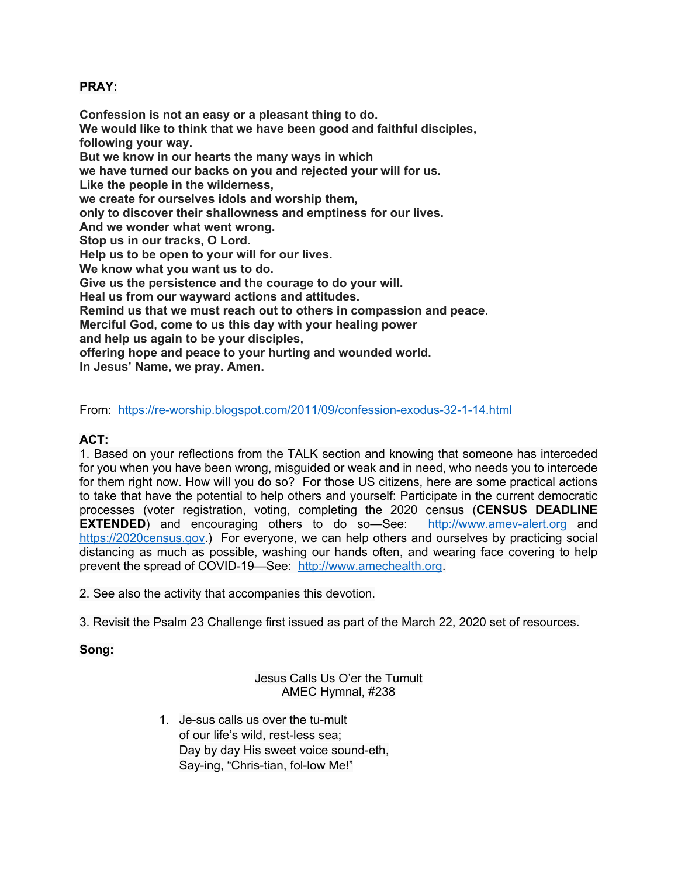## **PRAY:**

**Confession is not an easy or a pleasant thing to do. We would like to think that we have been good and faithful disciples, following your way. But we know in our hearts the many ways in which we have turned our backs on you and rejected your will for us. Like the people in the wilderness, we create for ourselves idols and worship them, only to discover their shallowness and emptiness for our lives. And we wonder what went wrong. Stop us in our tracks, O Lord. Help us to be open to your will for our lives. We know what you want us to do. Give us the persistence and the courage to do your will. Heal us from our wayward actions and attitudes. Remind us that we must reach out to others in compassion and peace. Merciful God, come to us this day with your healing power and help us again to be your disciples, offering hope and peace to your hurting and wounded world. In Jesus' Name, we pray. Amen.**

From: https://re-worship.blogspot.com/2011/09/confession-exodus-32-1-14.html

### **ACT:**

1. Based on your reflections from the TALK section and knowing that someone has interceded for you when you have been wrong, misguided or weak and in need, who needs you to intercede for them right now. How will you do so? For those US citizens, here are some practical actions to take that have the potential to help others and yourself: Participate in the current democratic processes (voter registration, voting, completing the 2020 census (**CENSUS DEADLINE EXTENDED**) and encouraging others to do so-See: http://www.amev-alert.org and https://2020census.gov.) For everyone, we can help others and ourselves by practicing social distancing as much as possible, washing our hands often, and wearing face covering to help prevent the spread of COVID-19—See: http://www.amechealth.org.

2. See also the activity that accompanies this devotion.

3. Revisit the Psalm 23 Challenge first issued as part of the March 22, 2020 set of resources.

### **Song:**

#### Jesus Calls Us O'er the Tumult AMEC Hymnal, #238

1. Je-sus calls us over the tu-mult of our life's wild, rest-less sea; Day by day His sweet voice sound-eth, Say-ing, "Chris-tian, fol-low Me!"